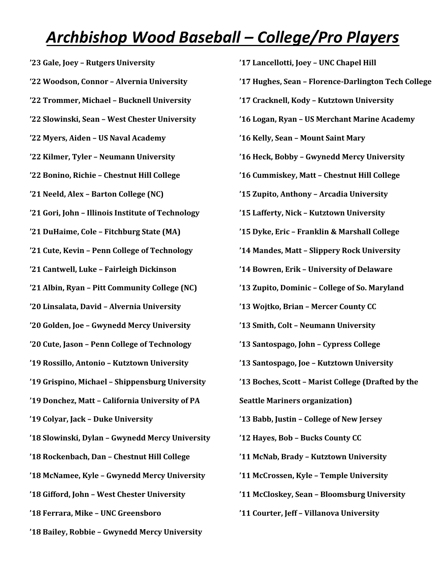## *Archbishop Wood Baseball – College/Pro Players*

 **'23 Gale, Joey – Rutgers University '22 Woodson, Connor – Alvernia University '22 Trommer, Michael – Bucknell University '22 Slowinski, Sean – West Chester University '22 Myers, Aiden – US Naval Academy '22 Kilmer, Tyler – Neumann University '22 Bonino, Richie – Chestnut Hill College '21 Neeld, Alex – Barton College (NC) '21 Gori, John – Illinois Institute of Technology '21 DuHaime, Cole – Fitchburg State (MA) '21 Cute, Kevin – Penn College of Technology '21 Cantwell, Luke – Fairleigh Dickinson '21 Albin, Ryan – Pitt Community College (NC) '20 Linsalata, David – Alvernia University '20 Golden, Joe – Gwynedd Mercy University '20 Cute, Jason – Penn College of Technology '19 Rossillo, Antonio – Kutztown University '19 Grispino, Michael – Shippensburg University '19 Donchez, Matt – California University of PA '19 Colyar, Jack – Duke University '18 Slowinski, Dylan – Gwynedd Mercy University '18 Rockenbach, Dan – Chestnut Hill College '18 McNamee, Kyle – Gwynedd Mercy University '18 Gifford, John – West Chester University '18 Ferrara, Mike – UNC Greensboro '18 Bailey, Robbie – Gwynedd Mercy University**

**'17 Lancellotti, Joey – UNC Chapel Hill '17 Hughes, Sean – Florence-Darlington Tech College '17 Cracknell, Kody – Kutztown University '16 Logan, Ryan – US Merchant Marine Academy '16 Kelly, Sean – Mount Saint Mary '16 Heck, Bobby – Gwynedd Mercy University '16 Cummiskey, Matt – Chestnut Hill College '15 Zupito, Anthony – Arcadia University '15 Lafferty, Nick – Kutztown University '15 Dyke, Eric – Franklin & Marshall College '14 Mandes, Matt – Slippery Rock University '14 Bowren, Erik – University of Delaware '13 Zupito, Dominic – College of So. Maryland '13 Wojtko, Brian – Mercer County CC '13 Smith, Colt – Neumann University '13 Santospago, John – Cypress College '13 Santospago, Joe – Kutztown University '13 Boches, Scott – Marist College (Drafted by the Seattle Mariners organization) '13 Babb, Justin – College of New Jersey '12 Hayes, Bob – Bucks County CC '11 McNab, Brady – Kutztown University '11 McCrossen, Kyle – Temple University '11 McCloskey, Sean – Bloomsburg University '11 Courter, Jeff – Villanova University**